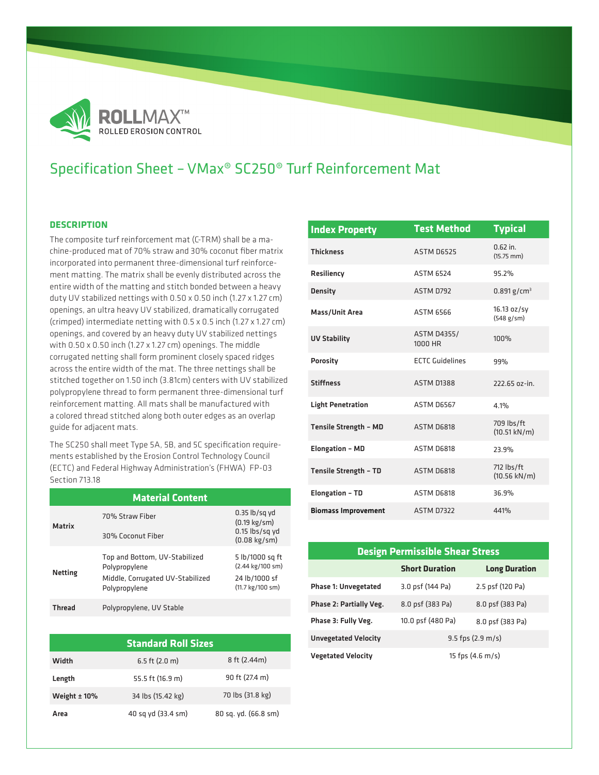

## Specification Sheet – VMax® SC250® Turf Reinforcement Mat

## **DESCRIPTION**

The composite turf reinforcement mat (C-TRM) shall be a machine-produced mat of 70% straw and 30% coconut fiber matrix incorporated into permanent three-dimensional turf reinforcement matting. The matrix shall be evenly distributed across the entire width of the matting and stitch bonded between a heavy duty UV stabilized nettings with 0.50 x 0.50 inch (1.27 x 1.27 cm) openings, an ultra heavy UV stabilized, dramatically corrugated (crimped) intermediate netting with 0.5 x 0.5 inch (1.27 x 1.27 cm) openings, and covered by an heavy duty UV stabilized nettings with 0.50 x 0.50 inch (1.27 x 1.27 cm) openings. The middle corrugated netting shall form prominent closely spaced ridges across the entire width of the mat. The three nettings shall be stitched together on 1.50 inch (3.81cm) centers with UV stabilized polypropylene thread to form permanent three-dimensional turf reinforcement matting. All mats shall be manufactured with a colored thread stitched along both outer edges as an overlap guide for adjacent mats.

The SC250 shall meet Type 5A, 5B, and 5C specification requirements established by the Erosion Control Technology Council (ECTC) and Federal Highway Administration's (FHWA) FP-03 Section 713.18

| <b>Material Content</b> |                                                                                                     |                                                                                         |  |
|-------------------------|-----------------------------------------------------------------------------------------------------|-----------------------------------------------------------------------------------------|--|
| <b>Matrix</b>           | 70% Straw Fiber<br>30% Coconut Fiber                                                                | $0.35$ lb/sq yd<br>$(0.19 \text{ kg/sm})$<br>$0.15$ lbs/sq yd<br>$(0.08 \text{ kg/sm})$ |  |
| <b>Netting</b>          | Top and Bottom, UV-Stabilized<br>Polypropylene<br>Middle, Corrugated UV-Stabilized<br>Polypropylene | 5 lb/1000 sq ft<br>(2.44 kg/100 sm)<br>24 lb/1000 sf<br>(11.7 kg/100 sm)                |  |
| <b>Thread</b>           | Polypropylene, UV Stable                                                                            |                                                                                         |  |

|                 | <b>Standard Roll Sizes</b> |                      |
|-----------------|----------------------------|----------------------|
| Width           | 6.5 ft $(2.0 m)$           | 8 ft (2.44m)         |
| Length          | 55.5 ft (16.9 m)           | 90 ft (27.4 m)       |
| Weight $± 10\%$ | 34 lbs (15.42 kg)          | 70 lbs (31.8 kg)     |
| Area            | 40 sq yd (33.4 sm)         | 80 sq. yd. (66.8 sm) |

| <b>Index Property</b>        | <b>Test Method</b>            | <b>Typical</b>                       |
|------------------------------|-------------------------------|--------------------------------------|
| <b>Thickness</b>             | ASTM D6525                    | $0.62$ in.<br>$(15.75 \, \text{mm})$ |
| Resiliency                   | <b>ASTM 6524</b>              | 95.2%                                |
| <b>Density</b>               | ASTM D792                     | $0.891$ g/cm <sup>3</sup>            |
| Mass/Unit Area               | ASTM 6566                     | 16.13 oz/sy<br>(548 g/sm)            |
| <b>UV Stability</b>          | <b>ASTM D4355/</b><br>1000 HR | 100%                                 |
| Porosity                     | <b>ECTC Guidelines</b>        | 99%                                  |
| <b>Stiffness</b>             | ASTM D1388                    | 222.65 nz-in.                        |
| <b>Light Penetration</b>     | ASTM D6567                    | 4.1%                                 |
| <b>Tensile Strength - MD</b> | ASTM D6818                    | 709 lbs/ft<br>$(10.51 \text{ kN/m})$ |
| <b>Elongation - MD</b>       | ASTM D6818                    | 23.9%                                |
| <b>Tensile Strength - TD</b> | ASTM D6818                    | 712 lbs/ft<br>$(10.56 \text{ kN/m})$ |
| Elongation - TD              | ASTM D6818                    | 36.9%                                |
| <b>Biomass Improvement</b>   | <b>ASTM D7322</b>             | 441%                                 |

| <b>Design Permissible Shear Stress</b> |                            |                      |  |  |
|----------------------------------------|----------------------------|----------------------|--|--|
|                                        | <b>Short Duration</b>      | <b>Long Duration</b> |  |  |
| <b>Phase 1: Unvegetated</b>            | 3.0 psf (144 Pa)           | 2.5 psf (120 Pa)     |  |  |
| Phase 2: Partially Veg.                | 8.0 psf (383 Pa)           | 8.0 psf (383 Pa)     |  |  |
| Phase 3: Fully Veg.                    | 10.0 psf (480 Pa)          | 8.0 psf (383 Pa)     |  |  |
| <b>Unvegetated Velocity</b>            | $9.5$ fps (2.9 m/s)        |                      |  |  |
| <b>Vegetated Velocity</b>              | 15 fps $(4.6 \text{ m/s})$ |                      |  |  |